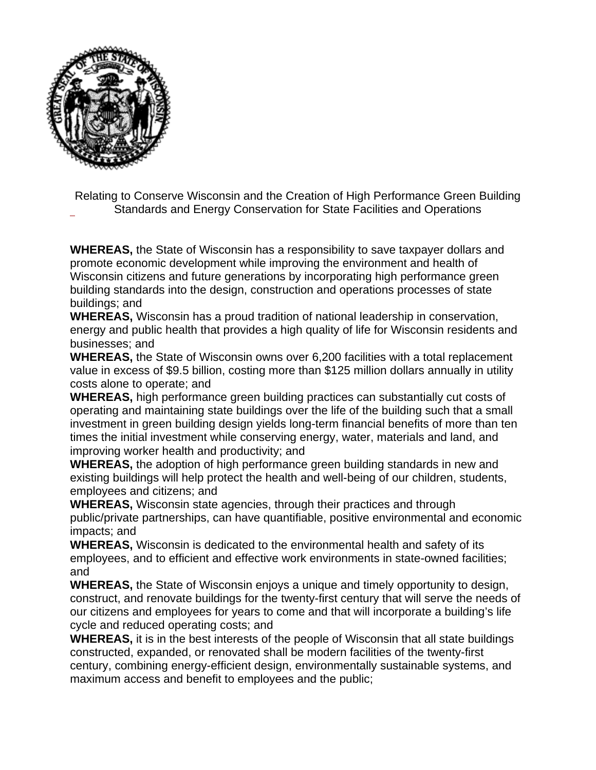

Relating to Conserve Wisconsin and the Creation of High Performance Green Building Standards and Energy Conservation for State Facilities and Operations

**WHEREAS,** the State of Wisconsin has a responsibility to save taxpayer dollars and promote economic development while improving the environment and health of Wisconsin citizens and future generations by incorporating high performance green building standards into the design, construction and operations processes of state buildings; and

**WHEREAS,** Wisconsin has a proud tradition of national leadership in conservation, energy and public health that provides a high quality of life for Wisconsin residents and businesses; and

**WHEREAS,** the State of Wisconsin owns over 6,200 facilities with a total replacement value in excess of \$9.5 billion, costing more than \$125 million dollars annually in utility costs alone to operate; and

**WHEREAS,** high performance green building practices can substantially cut costs of operating and maintaining state buildings over the life of the building such that a small investment in green building design yields long-term financial benefits of more than ten times the initial investment while conserving energy, water, materials and land, and improving worker health and productivity; and

**WHEREAS,** the adoption of high performance green building standards in new and existing buildings will help protect the health and well-being of our children, students, employees and citizens; and

**WHEREAS,** Wisconsin state agencies, through their practices and through public/private partnerships, can have quantifiable, positive environmental and economic impacts; and

**WHEREAS,** Wisconsin is dedicated to the environmental health and safety of its employees, and to efficient and effective work environments in state-owned facilities; and

**WHEREAS,** the State of Wisconsin enjoys a unique and timely opportunity to design, construct, and renovate buildings for the twenty-first century that will serve the needs of our citizens and employees for years to come and that will incorporate a building's life cycle and reduced operating costs; and

**WHEREAS,** it is in the best interests of the people of Wisconsin that all state buildings constructed, expanded, or renovated shall be modern facilities of the twenty-first century, combining energy-efficient design, environmentally sustainable systems, and maximum access and benefit to employees and the public;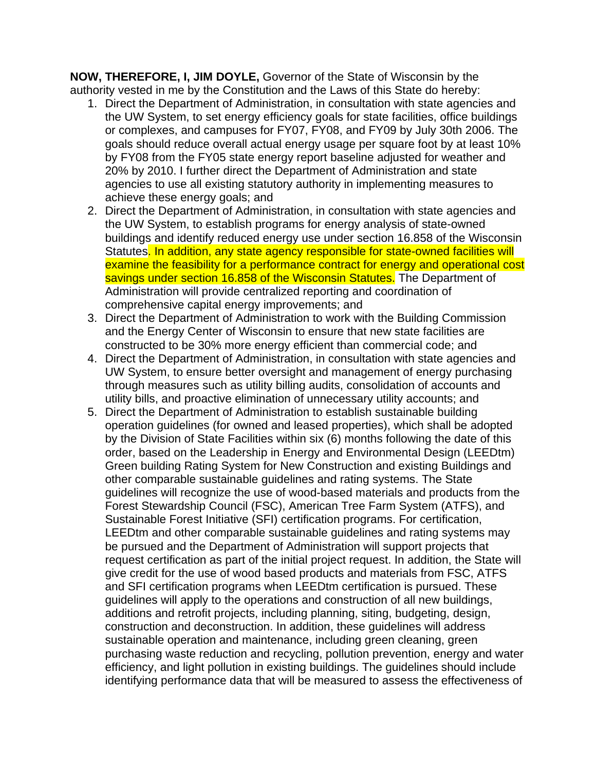**NOW, THEREFORE, I, JIM DOYLE,** Governor of the State of Wisconsin by the authority vested in me by the Constitution and the Laws of this State do hereby:

- 1. Direct the Department of Administration, in consultation with state agencies and the UW System, to set energy efficiency goals for state facilities, office buildings or complexes, and campuses for FY07, FY08, and FY09 by July 30th 2006. The goals should reduce overall actual energy usage per square foot by at least 10% by FY08 from the FY05 state energy report baseline adjusted for weather and 20% by 2010. I further direct the Department of Administration and state agencies to use all existing statutory authority in implementing measures to achieve these energy goals; and
- 2. Direct the Department of Administration, in consultation with state agencies and the UW System, to establish programs for energy analysis of state-owned buildings and identify reduced energy use under section 16.858 of the Wisconsin Statutes. In addition, any state agency responsible for state-owned facilities will examine the feasibility for a performance contract for energy and operational cost savings under section 16.858 of the Wisconsin Statutes. The Department of Administration will provide centralized reporting and coordination of comprehensive capital energy improvements; and
- 3. Direct the Department of Administration to work with the Building Commission and the Energy Center of Wisconsin to ensure that new state facilities are constructed to be 30% more energy efficient than commercial code; and
- 4. Direct the Department of Administration, in consultation with state agencies and UW System, to ensure better oversight and management of energy purchasing through measures such as utility billing audits, consolidation of accounts and utility bills, and proactive elimination of unnecessary utility accounts; and
- 5. Direct the Department of Administration to establish sustainable building operation guidelines (for owned and leased properties), which shall be adopted by the Division of State Facilities within six (6) months following the date of this order, based on the Leadership in Energy and Environmental Design (LEEDtm) Green building Rating System for New Construction and existing Buildings and other comparable sustainable guidelines and rating systems. The State guidelines will recognize the use of wood-based materials and products from the Forest Stewardship Council (FSC), American Tree Farm System (ATFS), and Sustainable Forest Initiative (SFI) certification programs. For certification, LEEDtm and other comparable sustainable guidelines and rating systems may be pursued and the Department of Administration will support projects that request certification as part of the initial project request. In addition, the State will give credit for the use of wood based products and materials from FSC, ATFS and SFI certification programs when LEEDtm certification is pursued. These guidelines will apply to the operations and construction of all new buildings, additions and retrofit projects, including planning, siting, budgeting, design, construction and deconstruction. In addition, these guidelines will address sustainable operation and maintenance, including green cleaning, green purchasing waste reduction and recycling, pollution prevention, energy and water efficiency, and light pollution in existing buildings. The guidelines should include identifying performance data that will be measured to assess the effectiveness of